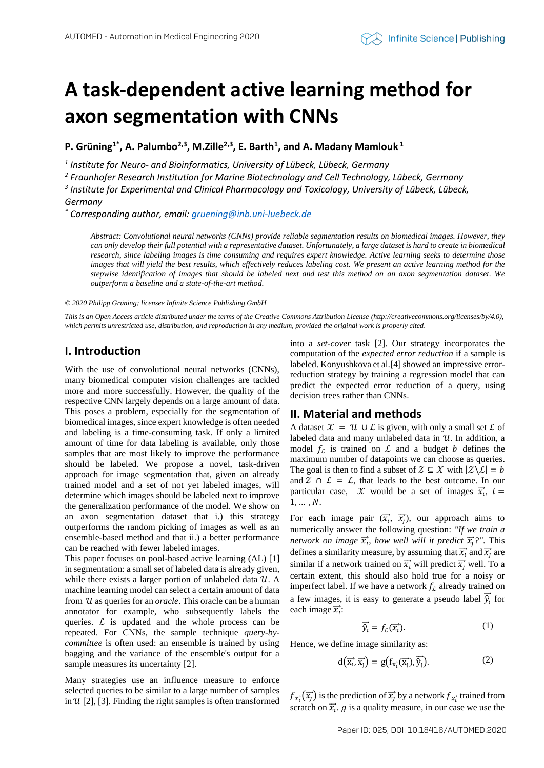# **A task-dependent active learning method for axon segmentation with CNNs**

**P. Grüning1\* , A. Palumbo2,3 , M.Zille2,3 , E. Barth<sup>1</sup> , and A. Madany Mamlouk <sup>1</sup>**

*1 Institute for Neuro- and Bioinformatics, University of Lübeck, Lübeck, Germany*

*2 Fraunhofer Research Institution for Marine Biotechnology and Cell Technology, Lübeck, Germany*

*3 Institute for Experimental and Clinical Pharmacology and Toxicology, University of Lübeck, Lübeck,* 

### *Germany*

*\* Corresponding author, email[: gruening@inb.uni-luebeck.de](mailto:gruening@inb.uni-luebeck.de)*

*Abstract: Convolutional neural networks (CNNs) provide reliable segmentation results on biomedical images. However, they can only develop their full potential with a representative dataset. Unfortunately, a large dataset is hard to create in biomedical research, since labeling images is time consuming and requires expert knowledge. Active learning seeks to determine those images that will yield the best results, which effectively reduces labeling cost. We present an active learning method for the stepwise identification of images that should be labeled next and test this method on an axon segmentation dataset. We outperform a baseline and a state-of-the-art method.*

*© 2020 Philipp Grüning; licensee Infinite Science Publishing GmbH*

*This is an Open Access article distributed under the terms of the Creative Commons Attribution License (http://creativecommons.org/licenses/by/4.0), which permits unrestricted use, distribution, and reproduction in any medium, provided the original work is properly cited.*

## **I. Introduction**

With the use of convolutional neural networks (CNNs), many biomedical computer vision challenges are tackled more and more successfully. However, the quality of the respective CNN largely depends on a large amount of data. This poses a problem, especially for the segmentation of biomedical images, since expert knowledge is often needed and labeling is a time-consuming task. If only a limited amount of time for data labeling is available, only those samples that are most likely to improve the performance should be labeled. We propose a novel, task-driven approach for image segmentation that, given an already trained model and a set of not yet labeled images, will determine which images should be labeled next to improve the generalization performance of the model. We show on an axon segmentation dataset that i.) this strategy outperforms the random picking of images as well as an ensemble-based method and that ii.) a better performance can be reached with fewer labeled images.

This paper focuses on pool-based active learning (AL) [1] in segmentation: a small set of labeled data is already given, while there exists a larger portion of unlabeled data  $U$ . A machine learning model can select a certain amount of data from U as queries for an *oracle*. This oracle can be a human annotator for example, who subsequently labels the queries.  $\mathcal{L}$  is updated and the whole process can be repeated. For CNNs, the sample technique *query-bycommittee* is often used: an ensemble is trained by using bagging and the variance of the ensemble's output for a sample measures its uncertainty [2].

Many strategies use an influence measure to enforce selected queries to be similar to a large number of samples in  $\mathcal{U}$  [2], [3]. Finding the right samples is often transformed into a *set-cover* task [2]. Our strategy incorporates the computation of the *expected error reduction* if a sample is labeled. Konyushkova et al.[4] showed an impressive errorreduction strategy by training a regression model that can predict the expected error reduction of a query, using decision trees rather than CNNs.

### **II. Material and methods**

A dataset  $\mathcal{X} = \mathcal{U} \cup \mathcal{L}$  is given, with only a small set  $\mathcal{L}$  of labeled data and many unlabeled data in  $U$ . In addition, a model  $f_L$  is trained on  $L$  and a budget  $b$  defines the maximum number of datapoints we can choose as queries. The goal is then to find a subset of  $\mathcal{Z} \subseteq \mathcal{X}$  with  $|\mathcal{Z} \backslash \mathcal{L}| = b$ and  $\Sigma \cap \mathcal{L} = \mathcal{L}$ , that leads to the best outcome. In our particular case,  $\mathcal{X}$  would be a set of images  $\overrightarrow{x_i}$ ,  $i =$  $1, \ldots, N$ .

For each image pair  $(\overrightarrow{x_i}, \overrightarrow{x_j})$ , our approach aims to numerically answer the following question: *''If we train a network on image*  $\vec{x}_v$ , how well will it predict  $\vec{x}_j$ ?". This defines a similarity measure, by assuming that  $\vec{x_i}$  and  $\vec{x_j}$  are similar if a network trained on  $\vec{x_i}$  will predict  $\vec{x_j}$  well. To a certain extent, this should also hold true for a noisy or imperfect label. If we have a network  $f_L$  already trained on a few images, it is easy to generate a pseudo label  $\overrightarrow{\hat{y}}_t$  for each image  $\vec{x_i}$ :

$$
\overrightarrow{\hat{y}_i} = f_L(\overrightarrow{x_i}).\tag{1}
$$

Hence, we define image similarity as:

$$
d\left(\overrightarrow{x_i}, \overrightarrow{x_j}\right) = g\left(f_{\overrightarrow{x_i}}(\overrightarrow{x_j}), \overrightarrow{\hat{y}_j}\right).
$$
 (2)

 $f_{\overrightarrow{x_i}}(\overrightarrow{x_j})$  is the prediction of  $\overrightarrow{x_j}$  by a network  $f_{\overrightarrow{x_i}}$  trained from scratch on  $\vec{x}_i$ . g is a quality measure, in our case we use the